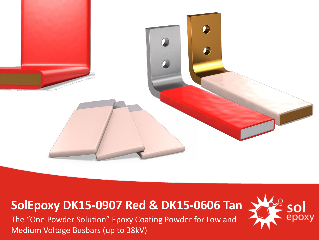

### **SolEpoxy DK15-0907 Red & DK15-0606 Tan**

The "One Powder Solution" Epoxy Coating Powder for Low and Medium Voltage Busbars (up to 38kV)

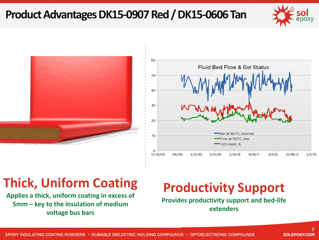#### **Product Advantages DK15-0907 Red / DK15-0606 Tan**







### **Thick, Uniform Coating**

**Applies a thick, uniform coating in excess of 5mm – key to the insulation of medium voltage bus bars**

## **Productivity Support**

**Provides productivity support and bed-life extenders**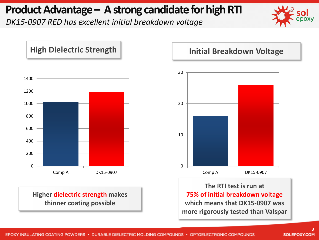#### **Product Advantage – A strong candidate for high RTI**

*DK15-0907 RED has excellent initial breakdown voltage* 





**Higher dielectric strength makes thinner coating possible**

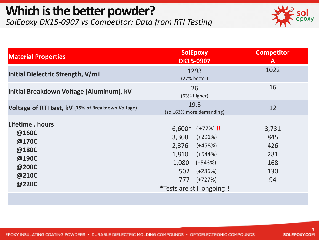# **Which is the better powder?**

*SolEpoxy DK15-0907 vs Competitor: Data from RTI Testing* 



| <b>Material Properties</b>                                                     | <b>SolEpoxy</b><br><b>DK15-0907</b>                                                                                                                                                 | <b>Competitor</b><br>A                         |
|--------------------------------------------------------------------------------|-------------------------------------------------------------------------------------------------------------------------------------------------------------------------------------|------------------------------------------------|
| Initial Dielectric Strength, V/mil                                             | 1293<br>(27% better)                                                                                                                                                                | 1022                                           |
| Initial Breakdown Voltage (Aluminum), kV                                       | 26<br>(63% higher)                                                                                                                                                                  | 16                                             |
| Voltage of RTI test, kV (75% of Breakdown Voltage)                             | 19.5<br>(so63% more demanding)                                                                                                                                                      | 12                                             |
| Lifetime, hours<br>@160C<br>@170C<br>@180C<br>@190C<br>@200C<br>@210C<br>@220C | $6,600*$ (+77%)!<br>$3,308$ $(+291\%)$<br>$2,376$ $(+458%)$<br>$1,810$ $(+544%)$<br>1,080<br>$(+543%)$<br>502<br>$(+286%)$<br>777<br>$(+727%)$<br><i>*Tests are still ongoing!!</i> | 3,731<br>845<br>426<br>281<br>168<br>130<br>94 |
|                                                                                |                                                                                                                                                                                     |                                                |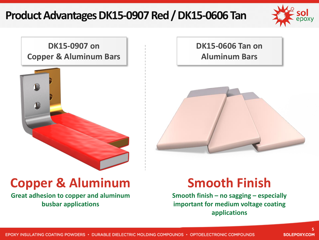#### **Product Advantages DK15-0907 Red / DK15-0606 Tan**



**DK15-0907 on Copper & Aluminum Bars**



**DK15-0606 Tan on Aluminum Bars**



### **Copper & Aluminum**

**Great adhesion to copper and aluminum busbar applications**

### **Smooth Finish**

**Smooth finish – no sagging – especially important for medium voltage coating applications**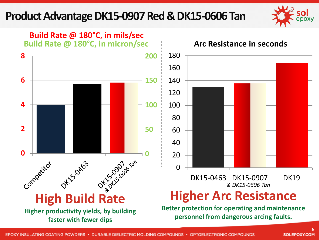#### **Product Advantage DK15-0907 Red & DK15-0606 Tan**



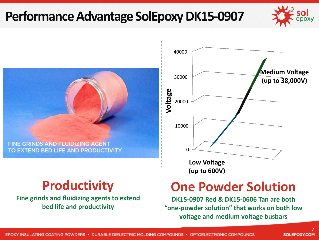### **Performance Advantage SolEpoxy DK15-0907**



FINE GRINDS AND FLUIDIZING AGENT TO EXTEND BED LIFE AND PRODUCTIVITY

#### **Productivity**

**Fine grinds and fluidizing agents to extend bed life and productivity**



### **One Powder Solution**

**DK15-0907 Red & DK15-0606 Tan are both "one-powder solution" that works on both low voltage and medium voltage busbars**